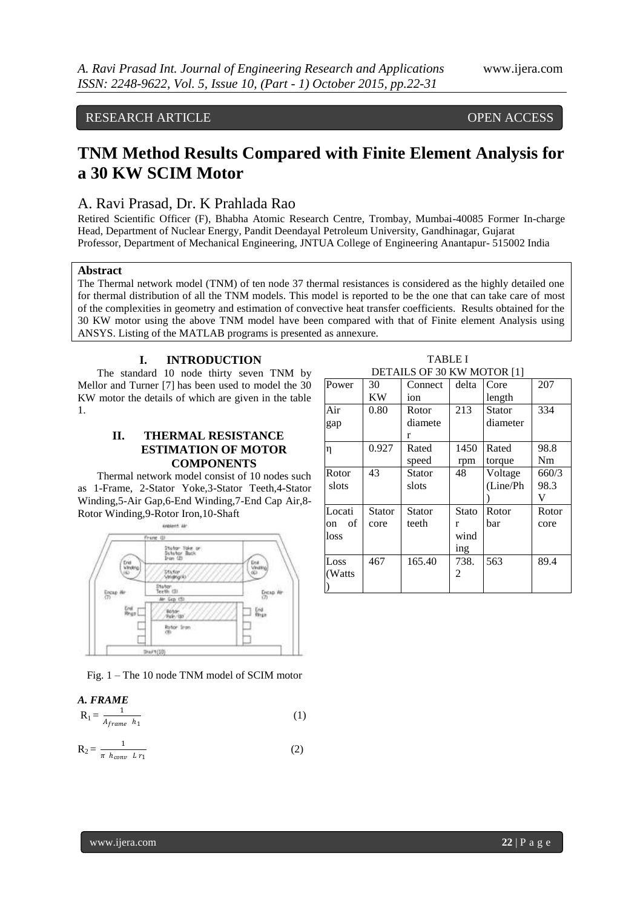### RESEARCH ARTICLE **CONTRACT OPEN ACCESS**

## **TNM Method Results Compared with Finite Element Analysis for a 30 KW SCIM Motor**

### A. Ravi Prasad, Dr. K Prahlada Rao

Retired Scientific Officer (F), Bhabha Atomic Research Centre, Trombay, Mumbai-40085 Former In-charge Head, Department of Nuclear Energy, Pandit Deendayal Petroleum University, Gandhinagar, Gujarat Professor, Department of Mechanical Engineering, JNTUA College of Engineering Anantapur- 515002 India

### **Abstract**

The Thermal network model (TNM) of ten node 37 thermal resistances is considered as the highly detailed one for thermal distribution of all the TNM models. This model is reported to be the one that can take care of most of the complexities in geometry and estimation of convective heat transfer coefficients. Results obtained for the 30 KW motor using the above TNM model have been compared with that of Finite element Analysis using ANSYS. Listing of the MATLAB programs is presented as annexure.

### **I. INTRODUCTION**

The standard 10 node thirty seven TNM by Mellor and Turner [7] has been used to model the 30 KW motor the details of which are given in the table 1.

### **II. THERMAL RESISTANCE ESTIMATION OF MOTOR COMPONENTS**

Thermal network model consist of 10 nodes such as 1-Frame, 2-Stator Yoke,3-Stator Teeth,4-Stator Winding,5-Air Gap,6-End Winding,7-End Cap Air,8- Rotor Winding,9-Rotor Iron,10-Shaft



Fig. 1 – The 10 node TNM model of SCIM motor

| A. FRAME                     |  |
|------------------------------|--|
| $R_1 =$<br>$A_{frame}$ $h_1$ |  |

$$
R_2 = \frac{1}{\pi h_{conv} L r_1} \tag{2}
$$

| <b>TABLE I</b>             |
|----------------------------|
| DETAILS OF 30 KW MOTOR [1] |

| Power    | 30     | Connect       | delta        | Core     | 207   |
|----------|--------|---------------|--------------|----------|-------|
|          | KW     | ion           |              | length   |       |
| Air      | 0.80   | Rotor         | 213          | Stator   | 334   |
| gap      |        | diamete       |              | diameter |       |
|          |        | r             |              |          |       |
| η        | 0.927  | Rated         | 1450         | Rated    | 98.8  |
|          |        | speed         | rpm          | torque   | Nm    |
| Rotor    | 43     | <b>Stator</b> | 48           | Voltage  | 660/3 |
| slots    |        | slots         |              | (Line/Ph | 98.3  |
|          |        |               |              |          | V     |
| Locati   | Stator | <b>Stator</b> | <b>Stato</b> | Rotor    | Rotor |
| of<br>on | core   | teeth         | r            | bar      | core  |
| loss     |        |               | wind         |          |       |
|          |        |               | ing          |          |       |
| Loss     | 467    | 165.40        | 738.         | 563      | 89.4  |
| (Watts)  |        |               | 2            |          |       |
|          |        |               |              |          |       |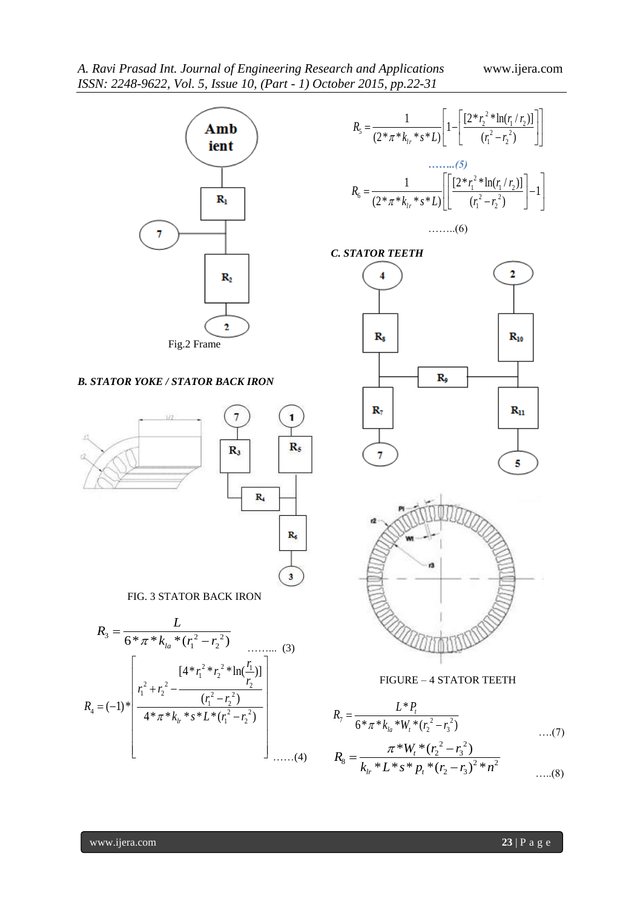

### *B. STATOR YOKE / STATOR BACK IRON*





 $\mathbf{1}$ 

FIG. 3 STATOR BACK IRON







FIGURE – 4 STATOR TEETH

$$
R_7 = \frac{L^* P_t}{6 * \pi * k_{la} * W_t * (r_2^2 - r_3^2)}
$$
...(7)  

$$
R_8 = \frac{\pi * W_t * (r_2^2 - r_3^2)}{k_{lr} * L * s * p_t * (r_2 - r_3)^2 * n^2}
$$
...(8)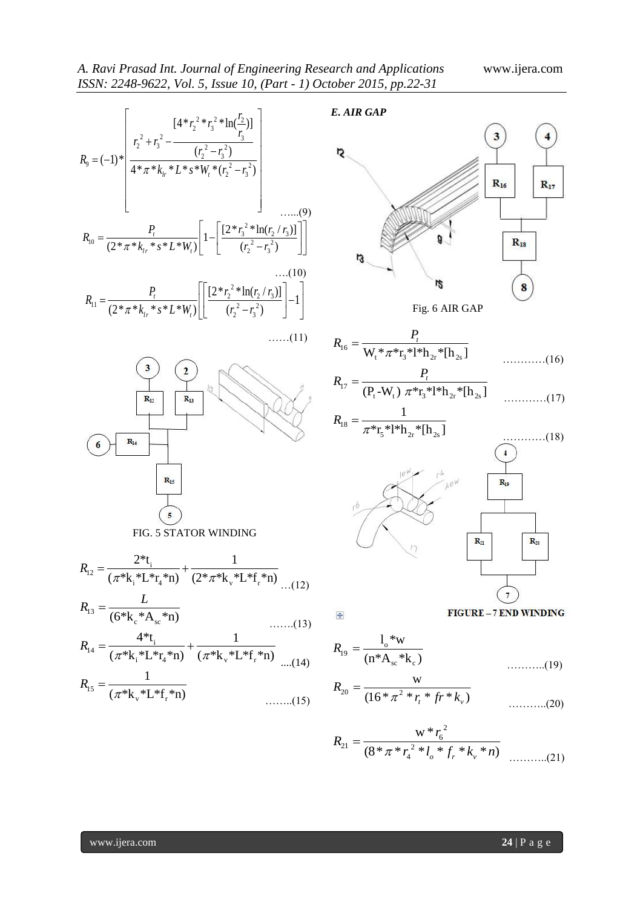| $[4 * r_2^2 * r_3^2 * ln(\frac{r_2}{r_2})]$                                                                                                                                                                                                                                                                                                                                                                                                                   | E. AIR GAP                                                                                                                                                                                                                                       |
|---------------------------------------------------------------------------------------------------------------------------------------------------------------------------------------------------------------------------------------------------------------------------------------------------------------------------------------------------------------------------------------------------------------------------------------------------------------|--------------------------------------------------------------------------------------------------------------------------------------------------------------------------------------------------------------------------------------------------|
| $R_9 = (-1)^* \left  \frac{r_2^2 + r_3^2 - \frac{(r_2^2 - r_3^2)}{(r_2^2 - r_3^2)}}{4 * \pi * k_{lr} * L * s * W_r * (r_2^2 - r_3^2)} \right $<br>$R_{10} = \frac{P_t}{(2 \pi \pi^* k_{t_r} * s \pi^* L^* W_t)} \left[1 - \left[ \frac{[2 \pi r_3^2 * \ln(r_2 / r_3)]}{(r_2^2 - r_2^2)}\right]\right]$<br>$R_{11} = \frac{P_t}{(2 \pi \pi^* k_{t_r} * s^* L^* W_t)} \left  \left  \frac{[2 \pi r_2^2 * \ln(r_2 / r_3)]}{(r_2^2 - r_3^2)} \right  - 1 \right $ | Ŋ<br>$R_{16}$<br>$R_{17}$<br>$R_{18}$<br>IJ<br>rs<br>8                                                                                                                                                                                           |
| $\ldots$ (11)                                                                                                                                                                                                                                                                                                                                                                                                                                                 | Fig. 6 AIR GAP                                                                                                                                                                                                                                   |
| 2<br>$R_{12}$<br>$R_{13}$                                                                                                                                                                                                                                                                                                                                                                                                                                     | $R_{16} = \frac{P_t}{W_* * \pi^* r_* * l^* h_{2*} * [h_{2*}]}$<br>$\ldots \ldots \ldots (16)$<br>$R_{17} = \frac{P_t}{(P_t - W_t) \pi^* r_s * 1 * h_{2r} * [h_{2r}]}$<br>$\ldots$ (17)<br>$R_{18} = \frac{1}{\pi^* r_*^* l^* h_*^* h_{\odot} l}$ |
| $\mathbf{R}_{14}$                                                                                                                                                                                                                                                                                                                                                                                                                                             | $\ldots \ldots \ldots \ldots (18)$                                                                                                                                                                                                               |
| $R_{15}$<br>FIG. 5 STATOR WINDING                                                                                                                                                                                                                                                                                                                                                                                                                             | $ Ae^{W}$<br>$R_{19}$<br>$R_{21}$<br>$R_{20}$                                                                                                                                                                                                    |
| $R_{12} = \frac{2^* t_i}{(\pi^* k_i^* L^* r_i^* n)} + \frac{1}{(2^* \pi^* k_v^* L^* f_i^* n)}$ (12)                                                                                                                                                                                                                                                                                                                                                           |                                                                                                                                                                                                                                                  |
| $R_{13} = \frac{L}{(6*_{\text{K}_{\text{e}}} * A_{\text{e}}} * n)}$<br>$\ldots$ (13)                                                                                                                                                                                                                                                                                                                                                                          | $\frac{1}{2}$                                                                                                                                                                                                                                    |
| $R_{14} = \frac{4 \cdot t_i}{(\pi \cdot k_i \cdot L \cdot r_4 \cdot r_1)} + \frac{1}{(\pi \cdot k_v \cdot L \cdot r_1 \cdot r_1)}$ $R_{19} = \frac{1 \cdot w}{(n \cdot A_{sc} \cdot k_c)}$                                                                                                                                                                                                                                                                    | $\ldots \ldots \ldots (19)$                                                                                                                                                                                                                      |
| $R_{15} = \frac{1}{(\pi^* k_*^* L^* f_*^* n)}$                                                                                                                                                                                                                                                                                                                                                                                                                | $R_{20} = \frac{w}{(16 * \pi^2 * r, * fr * k_0)}$<br>$\ldots$ (20)                                                                                                                                                                               |
|                                                                                                                                                                                                                                                                                                                                                                                                                                                               |                                                                                                                                                                                                                                                  |
| www.ijera.com                                                                                                                                                                                                                                                                                                                                                                                                                                                 | $24 \mid P$ a g e                                                                                                                                                                                                                                |

$$
R_{21} = \frac{w * r_6^2}{(8 * \pi * r_4^2 * l_o * f_r * k_v * n)}
$$
 (21)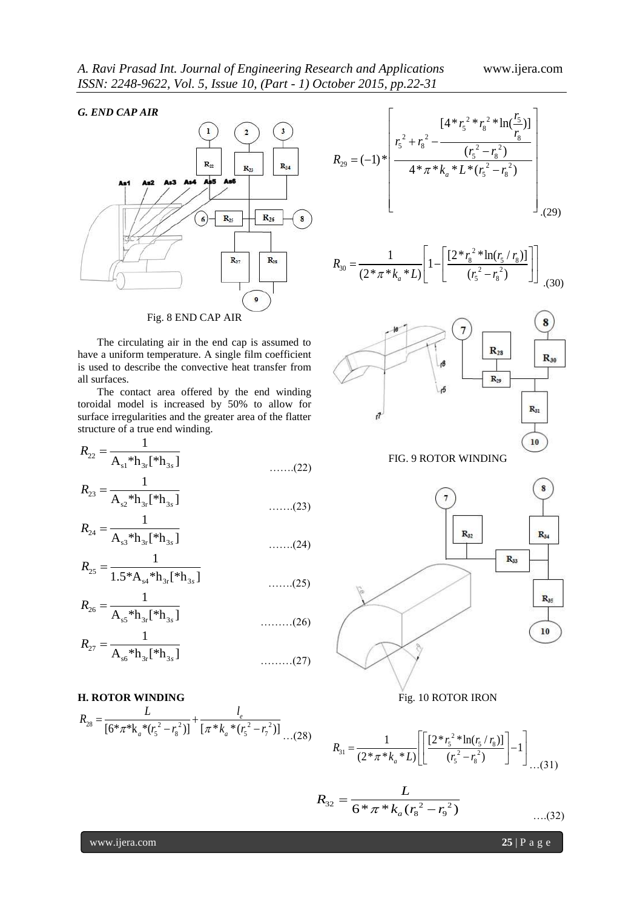### *G. END CAP AIR*



The circulating air in the end cap is assumed to have a uniform temperature. A single film coefficient is used to describe the convective heat transfer from all surfaces.

The contact area offered by the end winding toroidal model is increased by 50% to allow for surface irregularities and the greater area of the flatter structure of a true end winding.

$$
R_{22} = \frac{1}{A_{s1} * h_{3r} [*h_{3s}]}
$$
 ......(22)

$$
R_{23} = \frac{1}{A_{s2} * h_{3r} [{}^*h_{3s}]}
$$
 ......(23)

$$
R_{24} = \frac{1}{A_{s3} * h_{3r} [{}^* h_{3s}]}
$$
 ......(24)

$$
R_{25} = \frac{1}{1.5 \times A_{s4} \times h_{3r} [\times h_{3s}]}
$$
...(25)

$$
R_{26} = \frac{1}{A_{s5} * h_{3r} [{}^* h_{3s}]}
$$
 (26)

$$
R_{27} = \frac{1}{A_{s6} * h_{3r} [{}^* h_{3s}]}
$$
 (27)

**H. ROTOR WINDING**  
\n
$$
R_{28} = \frac{L}{[6*\pi *k_a * (r_s^2 - r_s^2)]} + \frac{l_e}{[\pi * k_a * (r_s^2 - r_f^2)]}
$$
\n...(28)

$$
R_{29} = (-1)^{*} \left[ \frac{[4 * r_{5}^{2} * r_{8}^{2} * \ln(\frac{r_{5}}{r_{8}})]}{4 * \pi * k_{a} * L * (r_{5}^{2} - r_{8}^{2})} \right]
$$
\n(29)

$$
R_{30} = \frac{1}{(2 \times \pi \times k_a \times L)} \left[ 1 - \left[ \frac{[2 \times r_s^2 \times \ln(r_s / r_s)]}{(r_s^2 - r_s^2)} \right] \right]_{(30)}
$$



FIG. 9 ROTOR WINDING



Fig. 10 ROTOR IRON

$$
R_{31} = \frac{1}{(2 \times \pi \times k_a \times L)} \left[ \left[ \frac{[2 \times r_s^2 \times \ln(r_s / r_s)]}{(r_s^2 - r_s^2)} \right] - 1 \right] \dots (31)
$$

$$
R_{32} = \frac{L}{6 * \pi * k_a (r_s^2 - r_9^2)}
$$
...(32)

www.ijera.com **25** | P a g e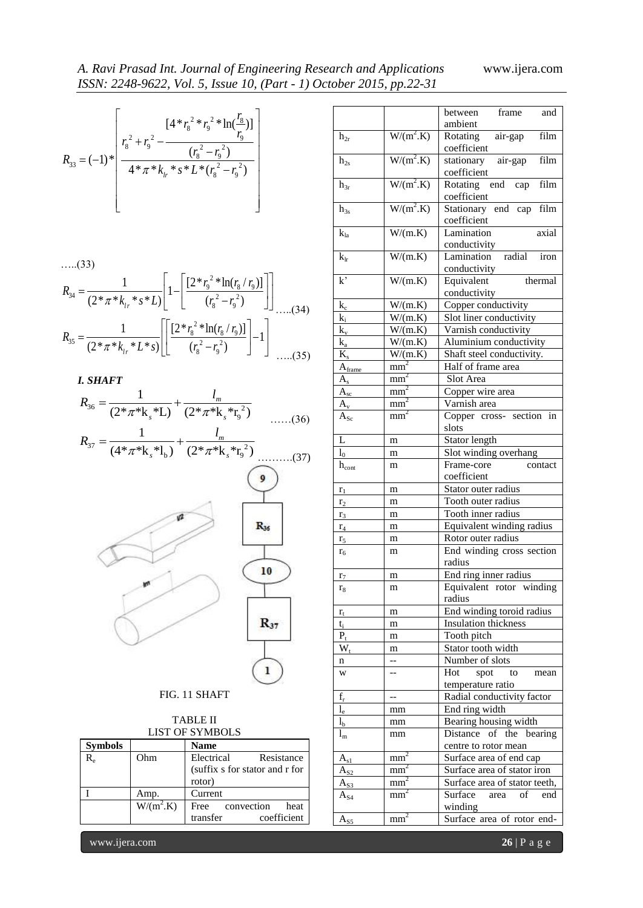### *A. Ravi Prasad Int. Journal of Engineering Research and Applications* www.ijera.com *ISSN: 2248-9622, Vol. 5, Issue 10, (Part - 1) October 2015, pp.22-31*

|  | $[4 * r_8^2 * r_9^2 * ln(\frac{r_8}{r})]$<br>$\frac{(r_s^2 + r_g^2 - \frac{r_g}{(r_s^2 - r_g^2)})}{4 * \pi * k_h * s * L * (r_s^2 - r_g^2)}$ |  |
|--|----------------------------------------------------------------------------------------------------------------------------------------------|--|
|--|----------------------------------------------------------------------------------------------------------------------------------------------|--|

…..(33)

$$
\begin{aligned}\n&\text{(33)}\\ R_{34} &= \frac{1}{(2*\pi *k_{lr} * s*L)} \left[ 1 - \left[ \frac{[2*_{r_9}^2 * \ln(r_8/r_9)]}{(r_8^2 - r_9^2)} \right] \right] \\
&\text{(34)}\\ R_{35} &= \frac{1}{(2*\pi *k_{lr} * L * s)} \left[ \left[ \frac{[2*_{r_8}^2 * \ln(r_8/r_9)]}{(r_8^2 - r_9^2)} \right] - 1 \right] \\
&\text{(35)}\n\end{aligned}
$$

*I. SHAFT*

$$
R_{36} = \frac{1}{(2 \times \pi \times k_s \times L)} + \frac{l_m}{(2 \times \pi \times k_s \times r_9^2)}
$$
  

$$
R_{37} = \frac{1}{(4 \times \pi \times k_s \times L)} + \frac{l_m}{(2 \times \pi \times k_s \times r_9^2)}
$$
......(36)

$$
R_{37} = \frac{1}{(4^* \pi^* \mathbf{k}_s^* \mathbf{l}_b)} + \frac{l_m}{(2^* \pi^* \mathbf{k}_s^* \mathbf{r}_9^2)}
$$
(37)

$$
\frac{1}{\sqrt{\frac{R_{30}}{R_{37}}}}
$$

### FIG. 11 SHAFT

| TABLE II        |
|-----------------|
| LIST OF SYMBOLS |

| <b>Symbols</b>                 |             | <b>Name</b>                    |
|--------------------------------|-------------|--------------------------------|
| $\rm R_{\scriptscriptstyle e}$ | Ohm         | Electrical<br>Resistance       |
|                                |             | (suffix s for stator and r for |
|                                |             | rotor)                         |
|                                | Amp.        | Current                        |
|                                | $W/(m^2.K)$ | Free convection<br>heat        |
|                                |             | coefficient<br>transfer        |

|                             |             | $[4 * r_8^2 * r_9^2 * ln(\frac{r_8}{r})]$                                                                                                                                                    |                         |                   | frame<br>between<br>and                               |
|-----------------------------|-------------|----------------------------------------------------------------------------------------------------------------------------------------------------------------------------------------------|-------------------------|-------------------|-------------------------------------------------------|
|                             |             |                                                                                                                                                                                              | $h_{2r}$                | $W/(m^2.K)$       | ambient<br>film<br>Rotating<br>air-gap<br>coefficient |
|                             |             | $(-1)^{\ast}$ $\begin{array}{ c c } \hline r_8^2 + r_9^2 - \frac{r_9^2}{(r_8^2 - r_9^2)} \ \hline 4^{\ast} \pi^{\ast} k_{l_r}^{\ast} s^{\ast} L^{\ast} (r_8^2 - r_9^2) \ \hline \end{array}$ | $h_{2s}$                | $W/(m^2.K)$       | film<br>stationary<br>air-gap<br>coefficient          |
|                             |             |                                                                                                                                                                                              | $h_{3r}$                | $W/(m^2.K)$       | Rotating end cap<br>film<br>coefficient               |
|                             |             |                                                                                                                                                                                              | $h_{3s}$                | $W/(m^2.K)$       | Stationary end cap<br>film<br>coefficient             |
|                             |             |                                                                                                                                                                                              | $k_{la}$                | W/(m.K)           | Lamination<br>axial<br>conductivity                   |
|                             |             |                                                                                                                                                                                              | $k_{\rm r}$             | W/(m.K)           | radial<br>Lamination<br>iron<br>conductivity          |
|                             |             | $\frac{1}{(2*\pi *k_{1r}*s*L)}\left[1-\left \frac{[2*_{r_9}^2*\ln(r_8/r_9)]}{(r_8^2-r_9^2)}\right \right $                                                                                   | $k^{\prime}$            | W/(m.K)           | Equivalent<br>thermal<br>conductivity                 |
|                             |             | (34)                                                                                                                                                                                         | $k_{c}$                 | W/(m.K)           | Copper conductivity                                   |
|                             |             |                                                                                                                                                                                              | $k_i$                   | W/(m.K)           | Slot liner conductivity                               |
|                             |             | $\frac{1}{(2*\pi^*k_{lr} * L^*s)} \left  \left[ \frac{[2*\kappa_8^2 * \ln(r_8 / r_9)]}{(r_8^2 - r_9^2)} - 1 \right] \right $                                                                 | $k_{v}$                 | W/(m.K)           | Varnish conductivity                                  |
|                             |             |                                                                                                                                                                                              | $k_a$                   | W/(m.K)           | Aluminium conductivity                                |
|                             |             |                                                                                                                                                                                              | $\overline{\mathbf{K}}$ |                   |                                                       |
|                             |             | (35)                                                                                                                                                                                         |                         | W/(m.K)           | Shaft steel conductivity.                             |
|                             |             |                                                                                                                                                                                              | $A_{frame}$             | mm <sup>2</sup>   | Half of frame area                                    |
| <b>SHAFT</b>                |             |                                                                                                                                                                                              | $A_{s}$                 | mm <sup>2</sup>   | Slot Area                                             |
|                             |             |                                                                                                                                                                                              | $A_{sc}$                | mm <sup>2</sup>   | Copper wire area                                      |
|                             |             | $n_6 = \frac{1}{(2^* \pi^* \mathbf{k} \cdot {}^* \mathbf{L})} + \frac{l_m}{(2^* \pi^* \mathbf{k} \cdot {}^* \mathbf{r}_0^2)}$                                                                | $A_{v}$                 | mm <sup>2</sup>   | Varnish area                                          |
|                             |             | (36)                                                                                                                                                                                         | $A_{Sc}$                | mm <sup>2</sup>   | Copper cross- section in<br>slots                     |
|                             |             | $v_7 = \frac{1}{(4 * \pi * k_* * l_*)} + \frac{l_m}{(2 * \pi * k_* * r_0^2)}$                                                                                                                | L                       | m                 | Stator length                                         |
|                             |             | $\dots(37)$                                                                                                                                                                                  | $l_0$                   | m                 | Slot winding overhang                                 |
|                             |             |                                                                                                                                                                                              | $h_{\rm cont}$          | m                 | Frame-core<br>contact<br>coefficient                  |
|                             |             |                                                                                                                                                                                              | $r_1$                   | m                 | Stator outer radius                                   |
|                             |             |                                                                                                                                                                                              | r <sub>2</sub>          | m                 | Tooth outer radius                                    |
|                             |             |                                                                                                                                                                                              | r <sub>3</sub>          | m                 | Tooth inner radius                                    |
|                             |             | $R_{36}$                                                                                                                                                                                     | $r_4$                   | m                 | Equivalent winding radius                             |
|                             |             |                                                                                                                                                                                              |                         | m                 | Rotor outer radius                                    |
|                             |             |                                                                                                                                                                                              | r <sub>5</sub>          |                   | End winding cross section                             |
|                             |             | 10                                                                                                                                                                                           | $r_{6}$                 | m                 | radius                                                |
|                             |             |                                                                                                                                                                                              | $r_7$                   | m                 | End ring inner radius                                 |
|                             | w           |                                                                                                                                                                                              | $\rm r_8$               | m                 | Equivalent rotor winding<br>radius                    |
|                             |             |                                                                                                                                                                                              | $r_{t}$                 | m                 | End winding toroid radius                             |
|                             |             | $R_{37}$                                                                                                                                                                                     | $t_i$                   | m                 | Insulation thickness                                  |
|                             |             |                                                                                                                                                                                              | $P_t$                   | m                 | Tooth pitch                                           |
|                             |             |                                                                                                                                                                                              | $W_t$                   | m                 | Stator tooth width                                    |
|                             |             |                                                                                                                                                                                              | n                       | --                | Number of slots                                       |
|                             |             | $\mathbf{I}$                                                                                                                                                                                 | W                       | $\qquad \qquad -$ | Hot<br>spot<br>to<br>mean<br>temperature ratio        |
|                             |             | FIG. 11 SHAFT                                                                                                                                                                                | $f_r$                   | $\sim$            | Radial conductivity factor                            |
|                             |             |                                                                                                                                                                                              | $l_{\rm e}$             | mm                | End ring width                                        |
|                             |             | <b>TABLE II</b>                                                                                                                                                                              | $l_{\rm b}$             | mm                | Bearing housing width                                 |
|                             |             | <b>LIST OF SYMBOLS</b>                                                                                                                                                                       | $l_{m}$                 |                   | Distance of the bearing                               |
| <b>symbols</b>              |             | <b>Name</b>                                                                                                                                                                                  |                         | mm                | centre to rotor mean                                  |
| $\mathfrak{c}_{\mathrm{e}}$ | Ohm         | Electrical<br>Resistance                                                                                                                                                                     | $A_{s1}$                | mm <sup>2</sup>   | Surface area of end cap                               |
|                             |             | (suffix s for stator and r for                                                                                                                                                               | $A_{S2}$                | mm <sup>2</sup>   | Surface area of stator iron                           |
|                             |             | rotor)                                                                                                                                                                                       | $A_{S3}$                | mm <sup>2</sup>   | Surface area of stator teeth,                         |
|                             | Amp.        | Current                                                                                                                                                                                      | $A_{S4}$                | mm <sup>2</sup>   | Surface<br>area<br>οf<br>end                          |
|                             | $W/(m^2.K)$ | convection<br>Free<br>heat                                                                                                                                                                   |                         |                   | winding                                               |
|                             |             | transfer<br>coefficient                                                                                                                                                                      | $A_{S5}$                | mm <sup>2</sup>   | Surface area of rotor end-                            |
| www.ijera.com               |             |                                                                                                                                                                                              |                         |                   | $26   P \text{ a } g \text{ e}$                       |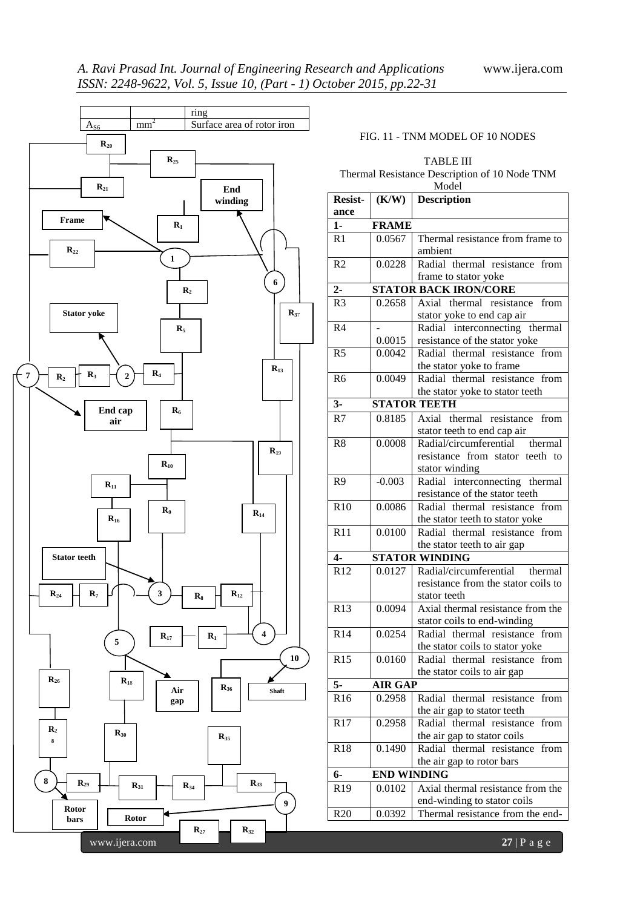

### FIG. 11 - TNM MODEL OF 10 NODES

### TABLE III Thermal Resistance Description of 10 Node TNM Model

| <b>Resist-</b>  | (K/W)              | <b>NIOUEI</b><br><b>Description</b>                  |
|-----------------|--------------------|------------------------------------------------------|
| ance            |                    |                                                      |
| $1-$            | <b>FRAME</b>       |                                                      |
| R1              | 0.0567             | Thermal resistance from frame to                     |
|                 |                    | ambient                                              |
| R2              | 0.0228             | Radial thermal resistance from                       |
|                 |                    |                                                      |
| $2-$            |                    | frame to stator yoke<br><b>STATOR BACK IRON/CORE</b> |
|                 |                    | Axial thermal resistance from                        |
| R <sub>3</sub>  | 0.2658             | stator yoke to end cap air                           |
| R <sub>4</sub>  |                    | Radial interconnecting thermal                       |
|                 | 0.0015             | resistance of the stator yoke                        |
| R <sub>5</sub>  | 0.0042             | Radial thermal resistance from                       |
|                 |                    | the stator yoke to frame                             |
| R <sub>6</sub>  | 0.0049             | Radial thermal resistance from                       |
|                 |                    | the stator yoke to stator teeth                      |
| $3-$            |                    | <b>STATOR TEETH</b>                                  |
| R7              | 0.8185             | Axial thermal resistance from                        |
|                 |                    | stator teeth to end cap air                          |
| R8              | 0.0008             | Radial/circumferential thermal                       |
|                 |                    | resistance from stator teeth to                      |
|                 |                    | stator winding                                       |
| R <sub>9</sub>  | $-0.003$           | Radial interconnecting thermal                       |
|                 |                    | resistance of the stator teeth                       |
| R10             | 0.0086             | Radial thermal resistance from                       |
|                 |                    | the stator teeth to stator yoke                      |
| R11             | 0.0100             | Radial thermal resistance from                       |
|                 |                    | the stator teeth to air gap                          |
| $4-$            |                    | <b>STATOR WINDING</b>                                |
| R12             | 0.0127             | Radial/circumferential thermal                       |
|                 |                    | resistance from the stator coils to                  |
|                 |                    | stator teeth                                         |
| R13             | 0.0094             | Axial thermal resistance from the                    |
|                 |                    | stator coils to end-winding                          |
| R14             | 0.0254             | Radial thermal resistance from                       |
|                 |                    | the stator coils to stator yoke                      |
| R15             | 0.0160             | Radial thermal resistance from                       |
|                 |                    | the stator coils to air gap                          |
| $5-$            | <b>AIR GAP</b>     |                                                      |
| R <sub>16</sub> | 0.2958             | Radial thermal resistance<br>from                    |
|                 |                    | the air gap to stator teeth                          |
| R17             | 0.2958             | Radial thermal resistance<br>from                    |
|                 |                    | the air gap to stator coils                          |
| <b>R18</b>      | 0.1490             | Radial thermal resistance<br>from                    |
|                 |                    | the air gap to rotor bars                            |
| 6-              | <b>END WINDING</b> |                                                      |
| R <sub>19</sub> | 0.0102             | Axial thermal resistance from the                    |
|                 |                    | end-winding to stator coils                          |
| R <sub>20</sub> | 0.0392             | Thermal resistance from the end-                     |
|                 |                    |                                                      |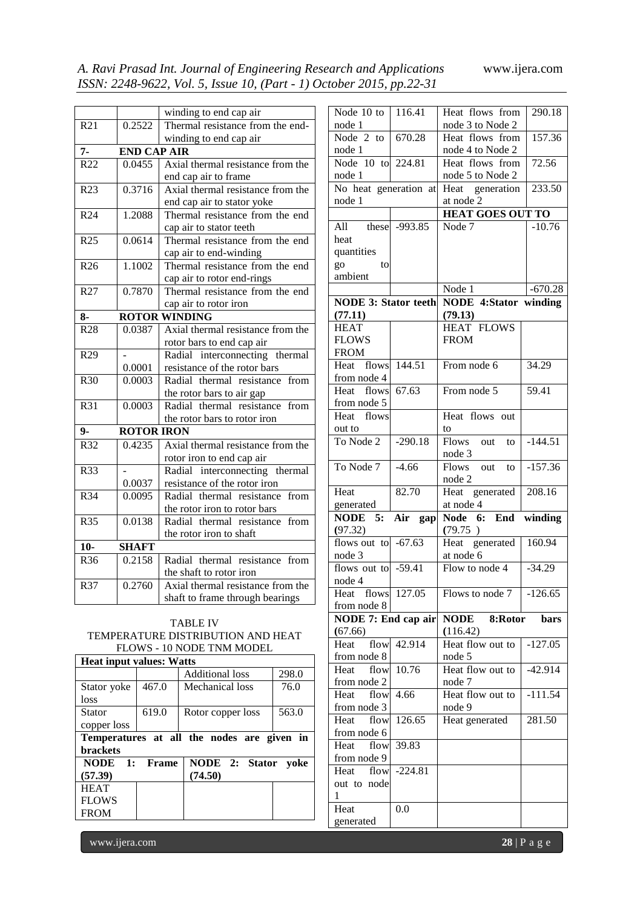|                 |                     | winding to end cap air                                       |
|-----------------|---------------------|--------------------------------------------------------------|
| R <sub>21</sub> | 0.2522              | Thermal resistance from the end-                             |
|                 |                     | winding to end cap air                                       |
| $7-$            | <b>END CAP AIR</b>  |                                                              |
| R22             | $0.\overline{0455}$ | Axial thermal resistance from the                            |
|                 |                     | end cap air to frame                                         |
| R23             | 0.3716              | Axial thermal resistance from the                            |
|                 |                     | end cap air to stator yoke                                   |
| R24             | 1.2088              | Thermal resistance from the end                              |
|                 |                     | cap air to stator teeth                                      |
| R <sub>25</sub> | 0.0614              | Thermal resistance from the end                              |
|                 |                     | cap air to end-winding                                       |
| R <sub>26</sub> | 1.1002              | Thermal resistance from the end                              |
|                 |                     | cap air to rotor end-rings                                   |
| R27             | 0.7870              | Thermal resistance from the end                              |
|                 |                     | cap air to rotor iron                                        |
| $8-$            |                     | <b>ROTOR WINDING</b>                                         |
| R28             | 0.0387              | Axial thermal resistance from the                            |
|                 |                     | rotor bars to end cap air                                    |
| R <sub>29</sub> |                     | Radial interconnecting thermal                               |
|                 | 0.0001              | resistance of the rotor bars                                 |
| R30             | 0.0003              | Radial thermal resistance from                               |
|                 |                     | the rotor bars to air gap                                    |
| R31             | 0.0003              | Radial thermal resistance<br>from                            |
|                 |                     | the rotor bars to rotor iron                                 |
| $9-$            | <b>ROTOR IRON</b>   |                                                              |
| R32             | 0.4235              | Axial thermal resistance from the                            |
|                 |                     | rotor iron to end cap air                                    |
| R33             |                     | Radial interconnecting thermal                               |
|                 | 0.0037              | resistance of the rotor iron                                 |
| R34             | 0.0095              | Radial thermal resistance from                               |
|                 |                     | the rotor iron to rotor bars                                 |
| <b>R35</b>      | 0.0138              | Radial thermal resistance<br>from                            |
|                 |                     | the rotor iron to shaft                                      |
| $10-$           | <b>SHAFT</b>        |                                                              |
| R36             | 0.2158              | Radial thermal resistance<br>from                            |
|                 |                     |                                                              |
|                 |                     | the shaft to rotor iron<br>Axial thermal resistance from the |
| R37             | 0.2760              |                                                              |
|                 |                     | shaft to frame through bearings                              |

# node 1

### TABLE IV TEMPERATURE DISTRIBUTION AND HEAT FLOWS - 10 NODE TNM MODEL

| <b>Heat input values: Watts</b> |          |                                            |       |  |  |
|---------------------------------|----------|--------------------------------------------|-------|--|--|
|                                 |          | <b>Additional loss</b>                     | 298.0 |  |  |
| Stator yoke                     | 467.0    | Mechanical loss                            | 76.0  |  |  |
| loss                            |          |                                            |       |  |  |
| <b>Stator</b>                   | 619.0    | Rotor copper loss                          | 563.0 |  |  |
| copper loss                     |          |                                            |       |  |  |
|                                 |          | Temperatures at all the nodes are given in |       |  |  |
| <b>brackets</b>                 |          |                                            |       |  |  |
| <b>NODE</b>                     | 1: Frame | NODE 2: Stator                             | voke  |  |  |
| (57.39)                         |          | (74.50)                                    |       |  |  |
|                                 |          |                                            |       |  |  |
| <b>HEAT</b>                     |          |                                            |       |  |  |
| <b>FLOWS</b>                    |          |                                            |       |  |  |
| <b>FROM</b>                     |          |                                            |       |  |  |

| $\overline{\text{Node}}$ 10 to | 116.41     | Heat flows from                       | 290.18                         |
|--------------------------------|------------|---------------------------------------|--------------------------------|
| node 1                         |            | node 3 to Node 2                      |                                |
| $Node$ 2 to                    | 670.28     | Heat flows from                       | 157.36                         |
| node 1                         |            | node 4 to Node 2                      |                                |
| Node 10 to                     | 224.81     | Heat flows from                       | 72.56                          |
| node 1                         |            | node 5 to Node 2                      |                                |
| No heat generation at          |            | Heat generation                       | 233.50                         |
| node 1                         |            | at node 2                             |                                |
|                                |            | <b>HEAT GOES OUT TO</b>               |                                |
| All<br>these                   | -993.85    | Node $7$                              | $-10.76$                       |
| heat                           |            |                                       |                                |
| quantities                     |            |                                       |                                |
| go<br>to                       |            |                                       |                                |
| ambient                        |            |                                       |                                |
|                                |            | Node 1                                | $-670.28$                      |
| <b>NODE 3: Stator teeth</b>    |            | <b>NODE 4:Stator</b>                  | winding                        |
| (77.11)                        |            | (79.13)                               |                                |
| <b>HEAT</b>                    |            | <b>HEAT FLOWS</b>                     |                                |
| <b>FLOWS</b>                   |            | <b>FROM</b>                           |                                |
| <b>FROM</b>                    |            |                                       |                                |
| Heat flows                     | 144.51     | From node 6                           | 34.29                          |
| from node 4                    |            |                                       |                                |
| Heat flows                     | 67.63      | From node 5                           | 59.41                          |
| from node 5                    |            |                                       |                                |
| Heat flows                     |            | Heat flows out                        |                                |
|                                |            |                                       |                                |
| out to<br>To Node 2            | $-290.18$  | to<br>Flows out<br>$\overline{\ }$ to | $-144.51$                      |
|                                |            | node 3                                |                                |
|                                |            |                                       |                                |
| To Node 7                      | $-4.66$    | Flows<br>out<br>to                    | $-157.36$                      |
|                                |            | node 2                                |                                |
| Heat                           | 82.70      | Heat generated                        | 208.16                         |
| generated                      |            | at node 4                             |                                |
| NODE 5:                        | Air<br>gap | Node 6:<br>End                        | $\overline{\textbf{w}}$ inding |
| (97.32)                        |            | (79.75)                               |                                |
| flows out to $-67.63$          |            | generated<br>Heat                     | 160.94                         |
| node 3                         |            | at node 6                             |                                |
| flows out to $-59.41$          |            | Flow to node 4                        | $-34.29$                       |
| node 4                         |            |                                       |                                |
| Heat<br>flows                  | 127.05     | Flows to node 7                       | $-126.65$                      |
| from node 8                    |            |                                       |                                |
| NODE 7: End cap air            |            | <b>NODE</b> 8: Rotor                  | bars                           |
| (67.66)                        |            | (116.42)                              |                                |
| flow<br>Heat                   | 42.914     | Heat flow out to                      | $-127.05$                      |
| from node 8                    |            | node 5                                |                                |
| Heat<br>flow                   | 10.76      | Heat flow out to                      | $-42.914$                      |
| from node 2                    |            | node 7                                |                                |
| Heat<br>flow                   | 4.66       | Heat flow out to                      | $-111.54$                      |
| from node 3                    |            | node 9                                |                                |
| Heat<br>flow                   | 126.65     | Heat generated                        | 281.50                         |
| from node 6                    |            |                                       |                                |
| Heat<br>flow                   | 39.83      |                                       |                                |
| from node 9                    |            |                                       |                                |
| Heat flow                      | $-224.81$  |                                       |                                |
| out to node                    |            |                                       |                                |
| 1                              |            |                                       |                                |
| Heat<br>generated              | 0.0        |                                       |                                |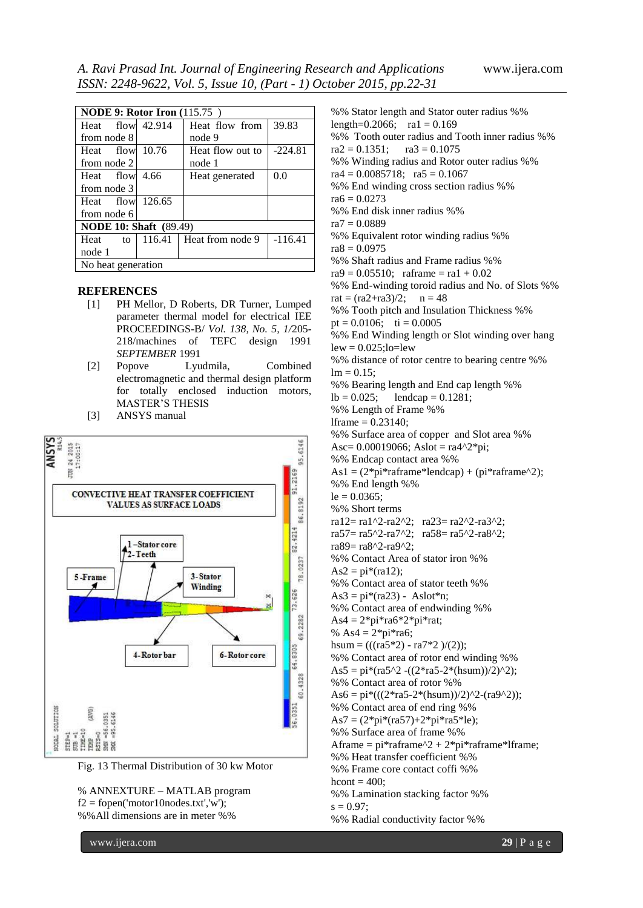| <b>NODE 9: Rotor Iron</b> (115.75) |  |                           |           |
|------------------------------------|--|---------------------------|-----------|
| Heat flow 42.914                   |  | Heat flow from            | 39.83     |
| from node 8                        |  | node 9                    |           |
| Heat flow 10.76                    |  | Heat flow out to          | $-224.81$ |
| from node 2                        |  | node 1                    |           |
| Heat flow 4.66                     |  | Heat generated            | 0.0       |
| from node 3                        |  |                           |           |
| Heat flow $126.65$                 |  |                           |           |
| from node 6                        |  |                           |           |
| <b>NODE 10: Shaft</b> (89.49)      |  |                           |           |
| Heat<br>to                         |  | $116.41$ Heat from node 9 | $-116.41$ |
| node 1                             |  |                           |           |
| No heat generation                 |  |                           |           |

### **REFERENCES**

- [1] PH Mellor, D Roberts, DR Turner, Lumped parameter thermal model for electrical IEE PROCEEDINGS-B/ *Vol. 138, No. 5, 1/*205- 218/machines of TEFC design 1991 *SEPTEMBER* 1991
- [2] Popove Lyudmila, Combined electromagnetic and thermal design platform for totally enclosed induction motors, MASTER'S THESIS
- [3] ANSYS manual





% ANNEXTURE – MATLAB program

 $f2 = fopen('motor10nodes.txt','w');$ %%All dimensions are in meter %%

www.ijera.com **29** | P a g e %% Stator length and Stator outer radius %% length=0.2066;  $ra1 = 0.169$ %% Tooth outer radius and Tooth inner radius %%  $ra2 = 0.1351$ ;  $ra3 = 0.1075$ %% Winding radius and Rotor outer radius %%  $ra4 = 0.0085718$ ;  $ra5 = 0.1067$ %% End winding cross section radius %%  $ra6 = 0.0273$ %% End disk inner radius %%  $ra7 = 0.0889$ %% Equivalent rotor winding radius %%  $ra8 = 0.0975$ %% Shaft radius and Frame radius %%  $ra9 = 0.05510$ ; raframe = ra1 + 0.02 %% End-winding toroid radius and No. of Slots %%  $rat = (ra2 + ra3)/2;$   $n = 48$ %% Tooth pitch and Insulation Thickness %% pt =  $0.0106$ ; ti =  $0.0005$ %% End Winding length or Slot winding over hang  $lew = 0.025$ ; $lo = lew$ %% distance of rotor centre to bearing centre %%  $lm = 0.15$ ; %% Bearing length and End cap length %%  $lb = 0.025$ ; lendcap = 0.1281; %% Length of Frame %% lframe =  $0.23140$ ; %% Surface area of copper and Slot area %% Asc=  $0.00019066$ ; Aslot = ra4^2\*pi; %% Endcap contact area %% As1 =  $(2*pi*rafname*lendcap) + (pi*rafname^2);$ %% End length %%  $le = 0.0365$ ; %% Short terms ra12= ra1^2-ra2^2; ra23= ra2^2-ra3^2; ra57= ra5^2-ra7^2; ra58= ra5^2-ra8^2; ra89= ra8^2-ra9^2; %% Contact Area of stator iron %%  $As2 = pi*(ra12);$ %% Contact area of stator teeth %%  $As3 = pi*(ra23) - Aslot*n;$ %% Contact area of endwinding %%  $As4 = 2*pi*ra6*2*pi*rat;$ % As $4 = 2$ \*pi\*ra6; hsum =  $(((ra5*2) - ra7*2)/(2));$ %% Contact area of rotor end winding %% As5 =  $pi*(ra5^2 - ((2*ra5-2*(hsum))/2)^2)$ ; %% Contact area of rotor %%  $As6 = pi*((2*ra5-2*(hsum))/2)^2-(ra9^2));$ %% Contact area of end ring %%  $As7 = (2*pi*(ra57)+2*pi*ra5*le);$ %% Surface area of frame %% Aframe =  $pi*raf$ raframe $^2 + 2*pi*raf$ raframe\*lframe; %% Heat transfer coefficient %% %% Frame core contact coffi %% hcont  $= 400$ : %% Lamination stacking factor %%  $s = 0.97$ ; %% Radial conductivity factor %%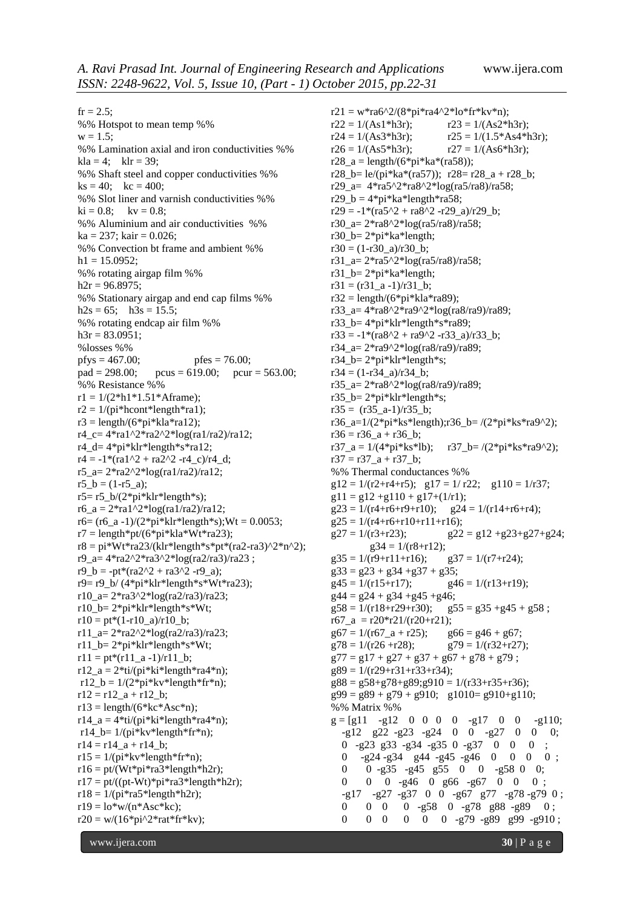$fr = 2.5$ ; %% Hotspot to mean temp %%  $w = 1.5$ ; %% Lamination axial and iron conductivities %%  $kla = 4$ ;  $klr = 39$ : %% Shaft steel and copper conductivities %%  $ks = 40$ ;  $kc = 400$ ; %% Slot liner and varnish conductivities %%  $ki = 0.8;$   $kv = 0.8;$ %% Aluminium and air conductivities %%  $ka = 237$ ; kair = 0.026; %% Convection bt frame and ambient %%  $h1 = 15.0952$ ; %% rotating airgap film %%  $h2r = 96.8975$ ; %% Stationary airgap and end cap films %%  $h2s = 65$ ;  $h3s = 15.5$ ; %% rotating endcap air film %%  $h3r = 83.0951;$ %losses %% pfys =  $467.00$ ; pfes =  $76.00$ ; pad = 298.00; pcus = 619.00; pcur = 563.00; %% Resistance %%  $r1 = 1/(2 * h1 * 1.51 * Aframe);$  $r2 = 1/(pi*hcont*length*ra1);$  $r3 = \text{length}/(6 \cdot \text{pi} \cdot \text{kla} \cdot \text{rad2});$  $r4$ <sub>-c</sub>=  $4*ra1^2*ra2^2*log(ra1/ra2)/ra12;$ r4\_d= 4\*pi\*klr\*length\*s\*ra12;  $r4 = -1*(ra1^2 + ra2^2 -r4_c)/r4_d;$ r5\_a=  $2*ra2^*log(ra1/ra2)/ra12$ ;  $r5$   $b = (1-r5_a);$  $r5 = r5_b/(2*pi*klr*length* s);$ r6  $a = 2*ral^2*log(ral/ra2)/ral2$ ;  $r6 = (r6_a - 1)/(2*pi*klr*length*s);Wt = 0.0053;$  $r7 = length*pt/(6*pi*kla*Wt*ra23);$  $r8 = pi*Wt*ra23/(klr*length*s*pt*(ra2-ra3)^2*n^2);$  $r9$ <sub>\_a</sub>=  $4*ra2^2*ra3^2*log(ra2/ra3)/ra23$ ;  $r9_b = -pt*(ra2^2 + ra3^2 - r9_a);$  $r9 = r9_b/(4*pi*klr*length*sv*Wt*ra23);$  $r10_a = 2*ra3^2*log(ra2/ra3)/ra23;$ r10  $b = 2*pi*klr*length*s*Wt;$  $r10 = pt*(1-r10a)/r10b;$ r11\_a=  $2*ra2^*log(ra2/ra3)/ra23$ ; r11\_b= 2\*pi\*klr\*length\*s\*Wt;  $r11 = pt*(r11_a - 1)/r11_b;$  $r12_a = 2*ti/(pi*ki*length*ra4*n);$  $r12_b = 1/(2*pi*kv*length*fr*n);$  $r12 = r12_a + r12_b;$  $r13 = length/(6*kc*Asc*n);$  $r14_a = 4*ti/(pi*ki*length*ra4*n);$ r14 b=  $1/(pi*kv*length*fr*n);$  $r14 = r14_a + r14_b;$  $r15 = 1/(pi*kv*length*fr*n);$  $r16 = pt/(Wt*pi*ra3*length*h2r);$  $r17 = pt/((pt-Wt)*pi*ra3*length*h2r);$  $r18 = 1/(pi*ra5*length*h2r);$  $r19 = 10*$ w/( $n*$ Asc\*kc);  $r20 = w/(16*pi^2*rat*fr*kv);$ 

 $r21 = w*ra6^2/(8*pi*ra4^2*lo*fr*kv*n);$  $r22 = 1/(As1*h3r);$   $r23 = 1/(As2*h3r);$  $r24 = 1/(As3*h3r);$   $r25 = 1/(1.5*As4*h3r);$  $r26 = 1/(As5*h3r);$   $r27 = 1/(As6*h3r);$  $r28_a = \text{length}/(6 \cdot \text{pi} \cdot \text{ka} \cdot (\text{rad} \cdot 58));$ r28 b= le/(pi\*ka\*(ra57)); r28= r28  $a + r28$  b; r29\_a= 4\*ra5^2\*ra8^2\*log(ra5/ra8)/ra58;  $r29_b = 4*pi*ka*length*ra58;$  $r29 = -1*(ra5^2 + ra8^2 -r29a)/r29_b;$ r30\_a=  $2*ra8^2*log(ra5/ra8)/ra58;$ r30\_b= 2\*pi\*ka\*length;  $r30 = (1-r30a)/r30b;$ r31\_a= 2\*ra5^2\*log(ra5/ra8)/ra58; r31\_b= 2\*pi\*ka\*length;  $r31 = (r31_a - 1)/r31_b;$  $r32 = \text{length}/(6\text{*}pi\text{*}k\text{la}*\text{rad}9);$ r33\_a= 4\*ra8^2\*ra9^2\*log(ra8/ra9)/ra89; r33\_b= 4\*pi\*klr\*length\*s\*ra89;  $r33 = -1*(ra8^2 + ra9^2 -r33a)/r33b;$ r34\_a= 2\*ra9^2\*log(ra8/ra9)/ra89; r34\_b= 2\*pi\*klr\*length\*s;  $r34 = (1-r34a)/r34b;$ r35\_a=  $2*ra8^2*log(ra8/ra9)/ra89$ ; r35\_b= 2\*pi\*klr\*length\*s;  $r35 = (r35_a - 1)/r35_b;$ r36\_a= $1/(2*pi*ks*length);r36_b=/(2*pi*ks*ra9^2);$  $r36 = r36$  a + r36 b;  $r37_a = 1/(4*pi*ks*lb);$   $r37_b = / (2*pi*ks*ra9^2);$  $r37 = r37_a + r37_b$ ; %% Thermal conductances %%  $g12 = 1/(r2+r4+r5); g17 = 1/r22; g110 = 1/r37;$  $g11 = g12 + g110 + g17+(1/r1);$  $g23 = 1/(r4+r6+r9+r10);$   $g24 = 1/(r14+r6+r4);$  $g25 = 1/(r4+r6+r10+r11+r16);$  $g27 = 1/(r3+r23);$   $g22 = g12 + g23 + g27 + g24;$  $g34 = 1/(r8 + r12);$  $g35 = 1/(r9+r11+r16);$   $g37 = 1/(r7+r24);$  $g33 = g23 + g34 + g37 + g35$ ;  $g45 = 1/(r15+r17);$   $g46 = 1/(r13+r19);$  $g44 = g24 + g34 + g45 + g46$ ;  $g58 = 1/(r18+r29+r30);$   $g55 = g35+g45+g58;$ r67\_a = r20\*r21/(r20+r21);  $g67 = 1/(r67_a + r25);$   $g66 = g46 + g67;$  $g78 = 1/(r26 + r28);$   $g79 = 1/(r32 + r27);$  $g77 = g17 + g27 + g37 + g67 + g78 + g79$ ;  $g89 = 1/(r29 + r31 + r33 + r34);$  $g88 = g58 + g78 + g89; g910 = 1/(r33 + r35 + r36);$  $g99 = g89 + g79 + g910$ ;  $g1010 = g910 + g110$ ; %% Matrix %%  $g = [g11 - g12 \ 0 \ 0 \ 0 \ 0 \ -g17 \ 0 \ 0 \ -g110;$  -g12 g22 -g23 -g24 0 0 -g27 0 0 0; 0 -g23 g33 -g34 -g35 0 -g37 0 0 0 ; 0 -g24 -g34 g44 -g45 -g46 0 0 0 0 ; 0 0 -g35 -g45 g55 0 0 -g58 0 0; 0 0 0 -g46 0 g66 -g67 0 0 0; -g17 -g27 -g37 0 0 -g67 g77 -g78 -g79 0 ; 0 0 0 0 -g58 0 -g78 g88 -g89 0; 0 0 0 0 0 0 -g79 -g89 g99 -g910;

www.ijera.com **30** | P a g e